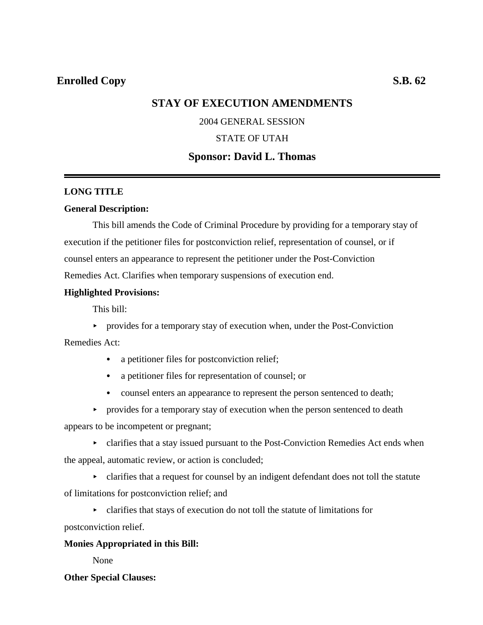## **Enrolled Copy** S.B. 62

# **STAY OF EXECUTION AMENDMENTS**

### 2004 GENERAL SESSION

### STATE OF UTAH

### **Sponsor: David L. Thomas**

#### **LONG TITLE**

#### **General Description:**

This bill amends the Code of Criminal Procedure by providing for a temporary stay of execution if the petitioner files for postconviction relief, representation of counsel, or if counsel enters an appearance to represent the petitioner under the Post-Conviction Remedies Act. Clarifies when temporary suspensions of execution end.

#### **Highlighted Provisions:**

This bill:

 $\rightarrow$  provides for a temporary stay of execution when, under the Post-Conviction

Remedies Act:

- a petitioner files for postconviction relief;
- a petitioner files for representation of counsel; or
- counsel enters an appearance to represent the person sentenced to death;
- $\rightarrow$  provides for a temporary stay of execution when the person sentenced to death

appears to be incompetent or pregnant;

 $\triangleright$  clarifies that a stay issued pursuant to the Post-Conviction Remedies Act ends when the appeal, automatic review, or action is concluded;

• clarifies that a request for counsel by an indigent defendant does not toll the statute of limitations for postconviction relief; and

< clarifies that stays of execution do not toll the statute of limitations for

postconviction relief.

#### **Monies Appropriated in this Bill:**

None

#### **Other Special Clauses:**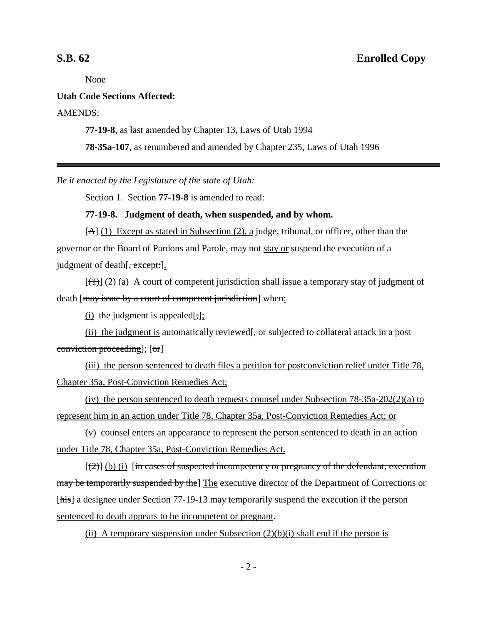None

#### **Utah Code Sections Affected:**

#### AMENDS:

**77-19-8**, as last amended by Chapter 13, Laws of Utah 1994

**78-35a-107**, as renumbered and amended by Chapter 235, Laws of Utah 1996

*Be it enacted by the Legislature of the state of Utah:*

Section 1. Section **77-19-8** is amended to read:

#### **77-19-8. Judgment of death, when suspended, and by whom.**

[A] (1) Except as stated in Subsection (2), a judge, tribunal, or officer, other than the governor or the Board of Pardons and Parole, may not stay or suspend the execution of a judgment of death  $\sqrt{z}$ , except:

 $[(+)$  (2) (a) A court of competent jurisdiction shall issue a temporary stay of judgment of death [may issue by a court of competent jurisdiction] when:

(i) the judgment is appealed[ $\frac{1}{2}$ ];

(ii) the judgment is automatically reviewed  $\frac{1}{x}$ , or subjected to collateral attack in a post conviction proceeding]; [or]

(iii) the person sentenced to death files a petition for postconviction relief under Title 78, Chapter 35a, Post-Conviction Remedies Act;

(iv) the person sentenced to death requests counsel under Subsection 78-35a-202(2)(a) to represent him in an action under Title 78, Chapter 35a, Post-Conviction Remedies Act; or

(v) counsel enters an appearance to represent the person sentenced to death in an action under Title 78, Chapter 35a, Post-Conviction Remedies Act.

 $[\frac{2}{2}]$  (b) (i) [in cases of suspected incompetency or pregnancy of the defendant, execution may be temporarily suspended by the The executive director of the Department of Corrections or [his] a designee under Section 77-19-13 may temporarily suspend the execution if the person sentenced to death appears to be incompetent or pregnant.

(ii) A temporary suspension under Subsection  $(2)(b)(i)$  shall end if the person is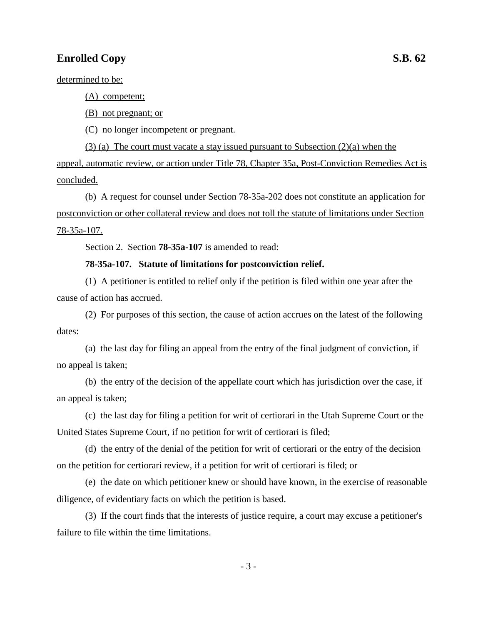# **Enrolled Copy** S.B. 62

determined to be:

(A) competent;

(B) not pregnant; or

(C) no longer incompetent or pregnant.

(3) (a) The court must vacate a stay issued pursuant to Subsection (2)(a) when the appeal, automatic review, or action under Title 78, Chapter 35a, Post-Conviction Remedies Act is concluded.

(b) A request for counsel under Section 78-35a-202 does not constitute an application for postconviction or other collateral review and does not toll the statute of limitations under Section 78-35a-107.

Section 2. Section **78-35a-107** is amended to read:

#### **78-35a-107. Statute of limitations for postconviction relief.**

(1) A petitioner is entitled to relief only if the petition is filed within one year after the cause of action has accrued.

(2) For purposes of this section, the cause of action accrues on the latest of the following dates:

(a) the last day for filing an appeal from the entry of the final judgment of conviction, if no appeal is taken;

(b) the entry of the decision of the appellate court which has jurisdiction over the case, if an appeal is taken;

(c) the last day for filing a petition for writ of certiorari in the Utah Supreme Court or the United States Supreme Court, if no petition for writ of certiorari is filed;

(d) the entry of the denial of the petition for writ of certiorari or the entry of the decision on the petition for certiorari review, if a petition for writ of certiorari is filed; or

(e) the date on which petitioner knew or should have known, in the exercise of reasonable diligence, of evidentiary facts on which the petition is based.

(3) If the court finds that the interests of justice require, a court may excuse a petitioner's failure to file within the time limitations.